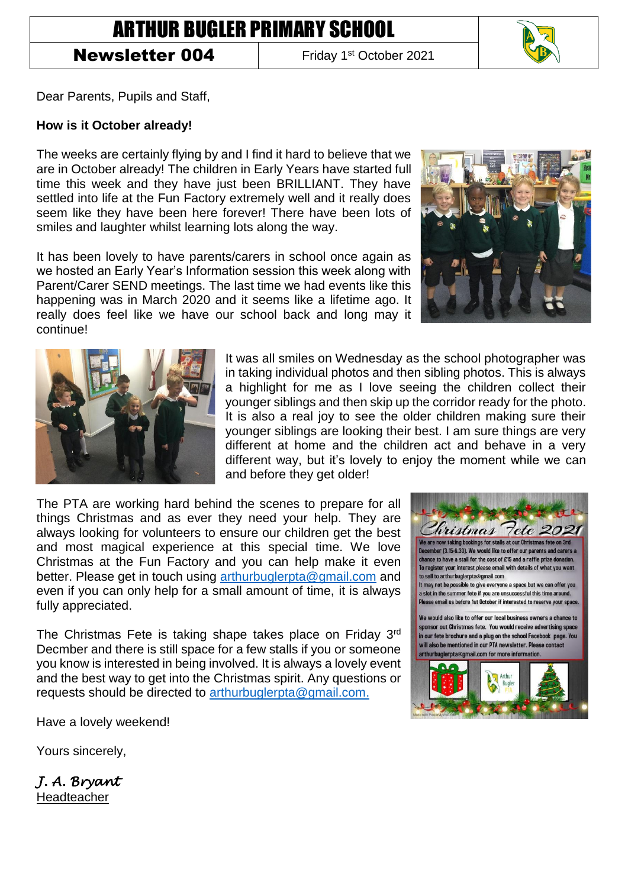## ARTHUR BUGLER PRIMARY SCHOOL

## Newsletter 004

Friday 1<sup>st</sup> October 2021



Dear Parents, Pupils and Staff,

## **How is it October already!**

The weeks are certainly flying by and I find it hard to believe that we are in October already! The children in Early Years have started full time this week and they have just been BRILLIANT. They have settled into life at the Fun Factory extremely well and it really does seem like they have been here forever! There have been lots of smiles and laughter whilst learning lots along the way.

It has been lovely to have parents/carers in school once again as we hosted an Early Year's Information session this week along with Parent/Carer SEND meetings. The last time we had events like this happening was in March 2020 and it seems like a lifetime ago. It really does feel like we have our school back and long may it continue!





It was all smiles on Wednesday as the school photographer was in taking individual photos and then sibling photos. This is always a highlight for me as I love seeing the children collect their younger siblings and then skip up the corridor ready for the photo. It is also a real joy to see the older children making sure their younger siblings are looking their best. I am sure things are very different at home and the children act and behave in a very different way, but it's lovely to enjoy the moment while we can and before they get older!

The PTA are working hard behind the scenes to prepare for all things Christmas and as ever they need your help. They are always looking for volunteers to ensure our children get the best and most magical experience at this special time. We love Christmas at the Fun Factory and you can help make it even better. Please get in touch using [arthurbuglerpta@gmail.com](mailto:arthurbuglerpta@gmail.com) and even if you can only help for a small amount of time, it is always fully appreciated.

The Christmas Fete is taking shape takes place on Friday 3rd Decmber and there is still space for a few stalls if you or someone you know is interested in being involved. It is always a lovely event and the best way to get into the Christmas spirit. Any questions or requests should be directed to [arthurbuglerpta@gmail.com.](mailto:arthurbuglerpta@gmail.com)

hristmas 7ete 202 <u>are now taking bookings for stalls at our Christmas fete on 3rd</u> hber (3.15-6.30). We would like to offer our parents and carers a ce to have a stall for the cost of £15 and a raffle prize donation. To register your interest please email with details of what you want to sell to arthurbuglerpta@gmail.com It may not be possible to give everyone a space but we can offer you a slot in the summer fete if you are unsuccessful this time around Please email us before 1st October if interested to reserve your space

We would also like to offer our local business owners a chance to sponsor out Christmas fete. You would receive advertising space in our fete brochure and a plug on the school Facebook page. You will also be mentioned in our PTA newsletter. Please contact arthurbuglerpta®gmail.com for more information



Have a lovely weekend!

Yours sincerely,

*J. A. Bryant*  Headteacher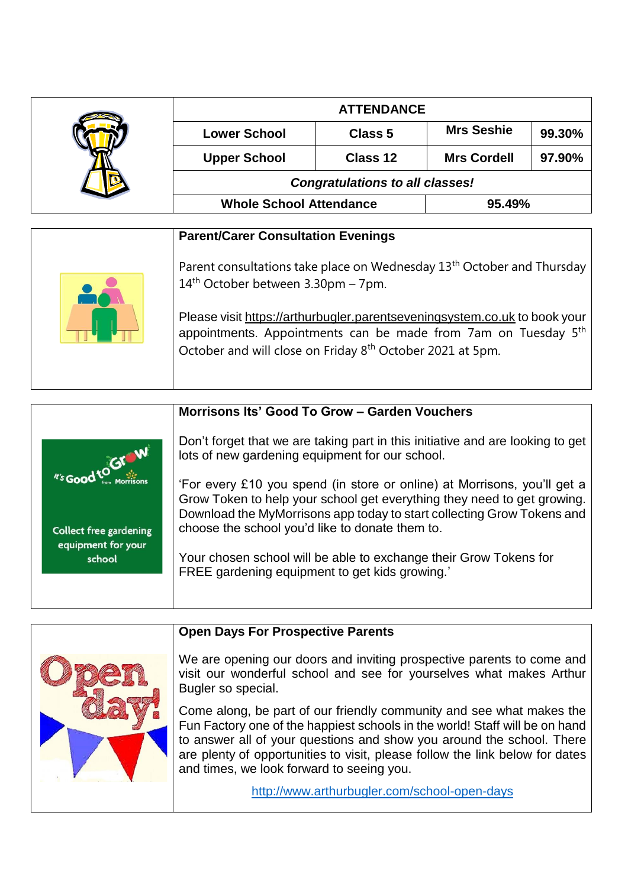|                                                                                                                                                                                                                                  | <b>ATTENDANCE</b>                                                                                                          |          |                    |        |  |
|----------------------------------------------------------------------------------------------------------------------------------------------------------------------------------------------------------------------------------|----------------------------------------------------------------------------------------------------------------------------|----------|--------------------|--------|--|
|                                                                                                                                                                                                                                  | <b>Lower School</b>                                                                                                        | Class 5  | <b>Mrs Seshie</b>  | 99.30% |  |
|                                                                                                                                                                                                                                  | <b>Upper School</b>                                                                                                        | Class 12 | <b>Mrs Cordell</b> | 97.90% |  |
|                                                                                                                                                                                                                                  | <b>Congratulations to all classes!</b>                                                                                     |          |                    |        |  |
|                                                                                                                                                                                                                                  | <b>Whole School Attendance</b>                                                                                             |          | 95.49%             |        |  |
|                                                                                                                                                                                                                                  |                                                                                                                            |          |                    |        |  |
|                                                                                                                                                                                                                                  | <b>Parent/Carer Consultation Evenings</b>                                                                                  |          |                    |        |  |
|                                                                                                                                                                                                                                  | Parent consultations take place on Wednesday 13 <sup>th</sup> October and Thursday<br>$14th$ October between 3.30pm – 7pm. |          |                    |        |  |
| Please visit https://arthurbugler.parentseveningsystem.co.uk to book your<br>appointments. Appointments can be made from 7am on Tuesday 5 <sup>th</sup><br>October and will close on Friday 8 <sup>th</sup> October 2021 at 5pm. |                                                                                                                            |          |                    |        |  |

| Morrisons Its' Good To Grow - Garden Vouchers                                                                                                                                                                                                                                    |
|----------------------------------------------------------------------------------------------------------------------------------------------------------------------------------------------------------------------------------------------------------------------------------|
| Don't forget that we are taking part in this initiative and are looking to get<br>As Good to Gram<br>lots of new gardening equipment for our school.                                                                                                                             |
| 'For every £10 you spend (in store or online) at Morrisons, you'll get a<br>Grow Token to help your school get everything they need to get growing.<br>Download the MyMorrisons app today to start collecting Grow Tokens and<br>choose the school you'd like to donate them to. |
| Your chosen school will be able to exchange their Grow Tokens for<br>FREE gardening equipment to get kids growing.'                                                                                                                                                              |
|                                                                                                                                                                                                                                                                                  |

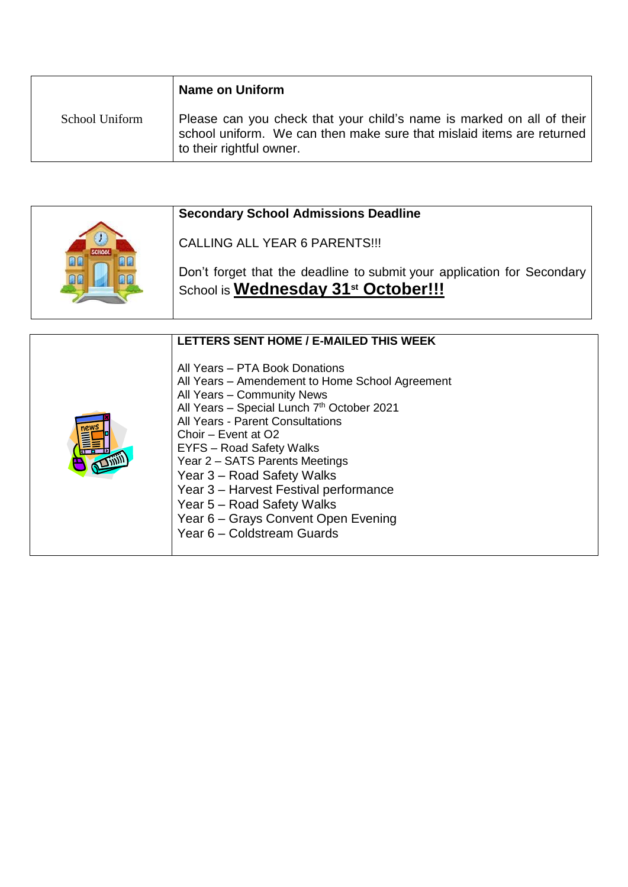|                | <b>Name on Uniform</b>                                                                                                                                                     |
|----------------|----------------------------------------------------------------------------------------------------------------------------------------------------------------------------|
| School Uniform | Please can you check that your child's name is marked on all of their<br>school uniform. We can then make sure that mislaid items are returned<br>to their rightful owner. |

|  | <b>Secondary School Admissions Deadline</b>                                                                                |  |  |
|--|----------------------------------------------------------------------------------------------------------------------------|--|--|
|  | CALLING ALL YEAR 6 PARENTS!!!                                                                                              |  |  |
|  | Don't forget that the deadline to submit your application for Secondary<br>School is Wednesday 31 <sup>st</sup> October!!! |  |  |

| LETTERS SENT HOME / E-MAILED THIS WEEK                                                                                                                                                                                                                                                                                                                                                                                                                                         |
|--------------------------------------------------------------------------------------------------------------------------------------------------------------------------------------------------------------------------------------------------------------------------------------------------------------------------------------------------------------------------------------------------------------------------------------------------------------------------------|
| All Years - PTA Book Donations<br>All Years - Amendement to Home School Agreement<br>All Years - Community News<br>All Years - Special Lunch 7th October 2021<br><b>All Years - Parent Consultations</b><br>Choir - Event at O2<br><b>EYFS</b> – Road Safety Walks<br>Year 2 - SATS Parents Meetings<br>Year 3 - Road Safety Walks<br>Year 3 - Harvest Festival performance<br>Year 5 - Road Safety Walks<br>Year 6 - Grays Convent Open Evening<br>Year 6 - Coldstream Guards |